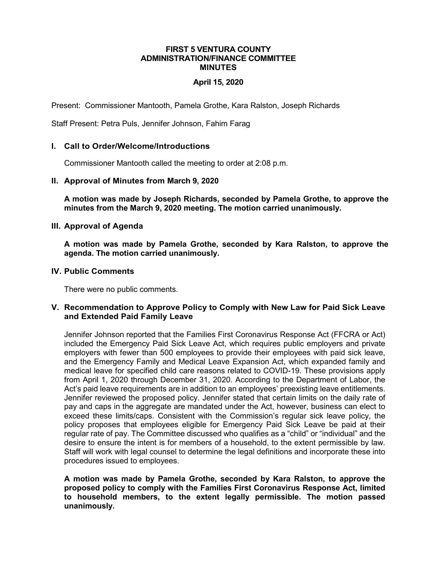### **FIRST 5 VENTURA COUNTY ADMINISTRATION/FINANCE COMMITTEE MINUTES**

### **April 15, 2020**

Present: Commissioner Mantooth, Pamela Grothe, Kara Ralston, Joseph Richards

Staff Present: Petra Puls, Jennifer Johnson, Fahim Farag

#### **I. Call to Order/Welcome/Introductions**

Commissioner Mantooth called the meeting to order at 2:08 p.m.

#### **II. Approval of Minutes from March 9, 2020**

**A motion was made by Joseph Richards, seconded by Pamela Grothe, to approve the minutes from the March 9, 2020 meeting. The motion carried unanimously.**

#### **III. Approval of Agenda**

**A motion was made by Pamela Grothe, seconded by Kara Ralston, to approve the agenda. The motion carried unanimously.**

#### **IV. Public Comments**

There were no public comments.

#### **V. Recommendation to Approve Policy to Comply with New Law for Paid Sick Leave and Extended Paid Family Leave**

Jennifer Johnson reported that the Families First Coronavirus Response Act (FFCRA or Act) included the Emergency Paid Sick Leave Act, which requires public employers and private employers with fewer than 500 employees to provide their employees with paid sick leave, and the Emergency Family and Medical Leave Expansion Act, which expanded family and medical leave for specified child care reasons related to COVID-19. These provisions apply from April 1, 2020 through December 31, 2020. According to the Department of Labor, the Act's paid leave requirements are in addition to an employees' preexisting leave entitlements. Jennifer reviewed the proposed policy. Jennifer stated that certain limits on the daily rate of pay and caps in the aggregate are mandated under the Act, however, business can elect to exceed these limits/caps. Consistent with the Commission's regular sick leave policy, the policy proposes that employees eligible for Emergency Paid Sick Leave be paid at their regular rate of pay. The Committee discussed who qualifies as a "child" or "individual" and the desire to ensure the intent is for members of a household, to the extent permissible by law. Staff will work with legal counsel to determine the legal definitions and incorporate these into procedures issued to employees.

**A motion was made by Pamela Grothe, seconded by Kara Ralston, to approve the proposed policy to comply with the Families First Coronavirus Response Act, limited to household members, to the extent legally permissible. The motion passed unanimously.**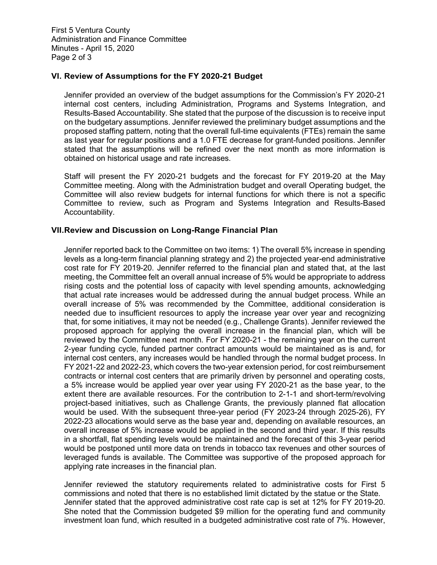First 5 Ventura County Administration and Finance Committee Minutes - April 15, 2020 Page 2 of 3

### **VI. Review of Assumptions for the FY 2020-21 Budget**

Jennifer provided an overview of the budget assumptions for the Commission's FY 2020-21 internal cost centers, including Administration, Programs and Systems Integration, and Results-Based Accountability. She stated that the purpose of the discussion is to receive input on the budgetary assumptions. Jennifer reviewed the preliminary budget assumptions and the proposed staffing pattern, noting that the overall full-time equivalents (FTEs) remain the same as last year for regular positions and a 1.0 FTE decrease for grant-funded positions. Jennifer stated that the assumptions will be refined over the next month as more information is obtained on historical usage and rate increases.

Staff will present the FY 2020-21 budgets and the forecast for FY 2019-20 at the May Committee meeting. Along with the Administration budget and overall Operating budget, the Committee will also review budgets for internal functions for which there is not a specific Committee to review, such as Program and Systems Integration and Results-Based Accountability.

### **VII.Review and Discussion on Long-Range Financial Plan**

Jennifer reported back to the Committee on two items: 1) The overall 5% increase in spending levels as a long-term financial planning strategy and 2) the projected year-end administrative cost rate for FY 2019-20. Jennifer referred to the financial plan and stated that, at the last meeting, the Committee felt an overall annual increase of 5% would be appropriate to address rising costs and the potential loss of capacity with level spending amounts, acknowledging that actual rate increases would be addressed during the annual budget process. While an overall increase of 5% was recommended by the Committee, additional consideration is needed due to insufficient resources to apply the increase year over year and recognizing that, for some initiatives, it may not be needed (e.g., Challenge Grants). Jennifer reviewed the proposed approach for applying the overall increase in the financial plan, which will be reviewed by the Committee next month. For FY 2020-21 - the remaining year on the current 2-year funding cycle, funded partner contract amounts would be maintained as is and, for internal cost centers, any increases would be handled through the normal budget process. In FY 2021-22 and 2022-23, which covers the two-year extension period, for cost reimbursement contracts or internal cost centers that are primarily driven by personnel and operating costs, a 5% increase would be applied year over year using FY 2020-21 as the base year, to the extent there are available resources. For the contribution to 2-1-1 and short-term/revolving project-based initiatives, such as Challenge Grants, the previously planned flat allocation would be used. With the subsequent three-year period (FY 2023-24 through 2025-26), FY 2022-23 allocations would serve as the base year and, depending on available resources, an overall increase of 5% increase would be applied in the second and third year. If this results in a shortfall, flat spending levels would be maintained and the forecast of this 3-year period would be postponed until more data on trends in tobacco tax revenues and other sources of leveraged funds is available. The Committee was supportive of the proposed approach for applying rate increases in the financial plan.

Jennifer reviewed the statutory requirements related to administrative costs for First 5 commissions and noted that there is no established limit dictated by the statue or the State. Jennifer stated that the approved administrative cost rate cap is set at 12% for FY 2019-20. She noted that the Commission budgeted \$9 million for the operating fund and community investment loan fund, which resulted in a budgeted administrative cost rate of 7%. However,